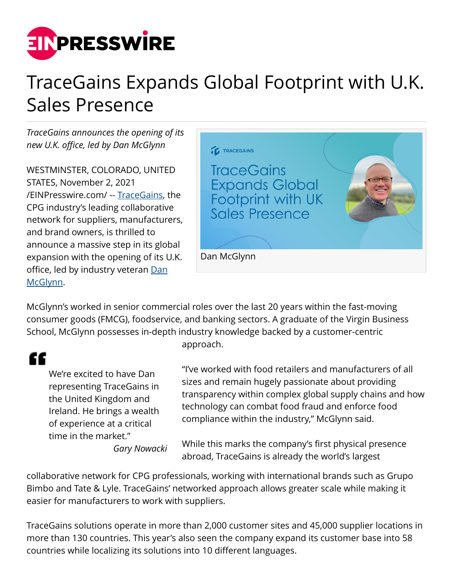

## TraceGains Expands Global Footprint with U.K. Sales Presence

*TraceGains announces the opening of its new U.K. office, led by Dan McGlynn*

WESTMINSTER, COLORADO, UNITED STATES, November 2, 2021 [/EINPresswire.com/](http://www.einpresswire.com) -- [TraceGains](https://www.tracegains.com), the CPG industry's leading collaborative network for suppliers, manufacturers, and brand owners, is thrilled to announce a massive step in its global expansion with the opening of its U.K. office, led by industry veteran [Dan](https://www.linkedin.com/in/dan-mcglynn/) [McGlynn](https://www.linkedin.com/in/dan-mcglynn/).



McGlynn's worked in senior commercial roles over the last 20 years within the fast-moving consumer goods (FMCG), foodservice, and banking sectors. A graduate of the Virgin Business School, McGlynn possesses in-depth industry knowledge backed by a customer-centric approach.

## æ

We're excited to have Dan representing TraceGains in the United Kingdom and Ireland. He brings a wealth of experience at a critical time in the market."

*Gary Nowacki*

"I've worked with food retailers and manufacturers of all sizes and remain hugely passionate about providing transparency within complex global supply chains and how technology can combat food fraud and enforce food compliance within the industry," McGlynn said.

While this marks the company's first physical presence abroad, TraceGains is already the world's largest

collaborative network for CPG professionals, working with international brands such as Grupo Bimbo and Tate & Lyle. TraceGains' networked approach allows greater scale while making it easier for manufacturers to work with suppliers.

TraceGains solutions operate in more than 2,000 customer sites and 45,000 supplier locations in more than 130 countries. This year's also seen the company expand its customer base into 58 countries while localizing its solutions into 10 different languages.